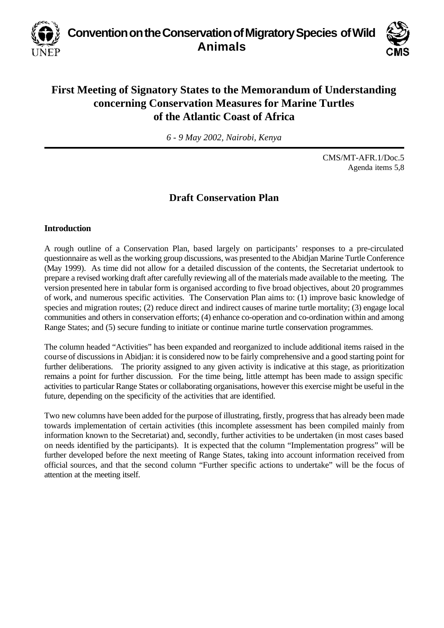**Convention on the Conservation of Migratory Species of Wild Animals**



# **First Meeting of Signatory States to the Memorandum of Understanding concerning Conservation Measures for Marine Turtles of the Atlantic Coast of Africa**

*6 - 9 May 2002, Nairobi, Kenya*

CMS/MT-AFR.1/Doc.5 Agenda items 5,8

#### **Draft Conservation Plan**

#### **Introduction**

A rough outline of a Conservation Plan, based largely on participants' responses to a pre-circulated questionnaire as well as the working group discussions, was presented to the Abidjan Marine Turtle Conference (May 1999). As time did not allow for a detailed discussion of the contents, the Secretariat undertook to prepare a revised working draft after carefully reviewing all of the materials made available to the meeting. The version presented here in tabular form is organised according to five broad objectives, about 20 programmes of work, and numerous specific activities. The Conservation Plan aims to: (1) improve basic knowledge of species and migration routes; (2) reduce direct and indirect causes of marine turtle mortality; (3) engage local communities and others in conservation efforts; (4) enhance co-operation and co-ordination within and among Range States; and (5) secure funding to initiate or continue marine turtle conservation programmes.

The column headed "Activities" has been expanded and reorganized to include additional items raised in the course of discussions in Abidjan: it is considered now to be fairly comprehensive and a good starting point for further deliberations. The priority assigned to any given activity is indicative at this stage, as prioritization remains a point for further discussion. For the time being, little attempt has been made to assign specific activities to particular Range States or collaborating organisations, however this exercise might be useful in the future, depending on the specificity of the activities that are identified.

Two new columns have been added for the purpose of illustrating, firstly, progress that has already been made towards implementation of certain activities (this incomplete assessment has been compiled mainly from information known to the Secretariat) and, secondly, further activities to be undertaken (in most cases based on needs identified by the participants). It is expected that the column "Implementation progress" will be further developed before the next meeting of Range States, taking into account information received from official sources, and that the second column "Further specific actions to undertake" will be the focus of attention at the meeting itself.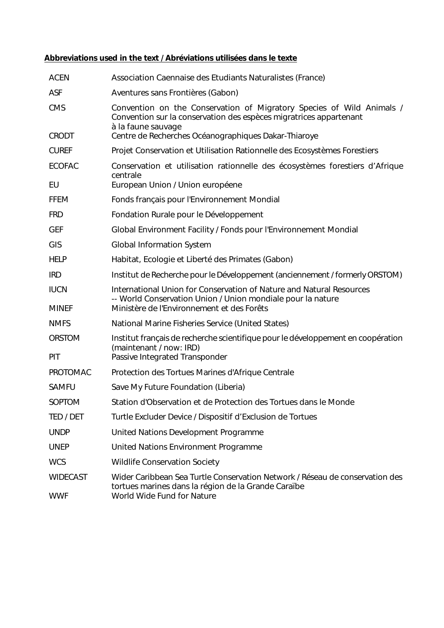## **Abbreviations used in the text / Abréviations utilisées dans le texte**

| <b>ACEN</b>                   | Association Caennaise des Etudiants Naturalistes (France)                                                                                                                         |
|-------------------------------|-----------------------------------------------------------------------------------------------------------------------------------------------------------------------------------|
| <b>ASF</b>                    | Aventures sans Frontières (Gabon)                                                                                                                                                 |
| <b>CMS</b>                    | Convention on the Conservation of Migratory Species of Wild Animals /<br>Convention sur la conservation des espèces migratrices appartenant<br>à la faune sauvage                 |
| <b>CRODT</b>                  | Centre de Recherches Océanographiques Dakar-Thiaroye                                                                                                                              |
| <b>CUREF</b>                  | Projet Conservation et Utilisation Rationnelle des Ecosystèmes Forestiers                                                                                                         |
| <b>ECOFAC</b>                 | Conservation et utilisation rationnelle des écosystèmes forestiers d'Afrique                                                                                                      |
| EU                            | centrale<br>European Union / Union européene                                                                                                                                      |
| <b>FFEM</b>                   | Fonds français pour l'Environnement Mondial                                                                                                                                       |
| <b>FRD</b>                    | Fondation Rurale pour le Développement                                                                                                                                            |
| <b>GEF</b>                    | Global Environment Facility / Fonds pour l'Environnement Mondial                                                                                                                  |
| GIS                           | <b>Global Information System</b>                                                                                                                                                  |
| <b>HELP</b>                   | Habitat, Ecologie et Liberté des Primates (Gabon)                                                                                                                                 |
| <b>IRD</b>                    | Institut de Recherche pour le Développement (anciennement / formerly ORSTOM)                                                                                                      |
| <b>IUCN</b><br><b>MINEF</b>   | International Union for Conservation of Nature and Natural Resources<br>-- World Conservation Union / Union mondiale pour la nature<br>Ministère de l'Environnement et des Forêts |
| <b>NMFS</b>                   | National Marine Fisheries Service (United States)                                                                                                                                 |
| <b>ORSTOM</b>                 | Institut français de recherche scientifique pour le développement en coopération                                                                                                  |
| PIT                           | (maintenant / now: IRD)<br>Passive Integrated Transponder                                                                                                                         |
| PROTOMAC                      | Protection des Tortues Marines d'Afrique Centrale                                                                                                                                 |
| <b>SAMFU</b>                  | Save My Future Foundation (Liberia)                                                                                                                                               |
| SOPTOM                        | Station d'Observation et de Protection des Tortues dans le Monde                                                                                                                  |
| TED / DET                     | Turtle Excluder Device / Dispositif d'Exclusion de Tortues                                                                                                                        |
| <b>UNDP</b>                   | United Nations Development Programme                                                                                                                                              |
| <b>UNEP</b>                   | United Nations Environment Programme                                                                                                                                              |
| <b>WCS</b>                    | <b>Wildlife Conservation Society</b>                                                                                                                                              |
| <b>WIDECAST</b><br><b>WWF</b> | Wider Caribbean Sea Turtle Conservation Network / Réseau de conservation des<br>tortues marines dans la région de la Grande Caraïbe<br>World Wide Fund for Nature                 |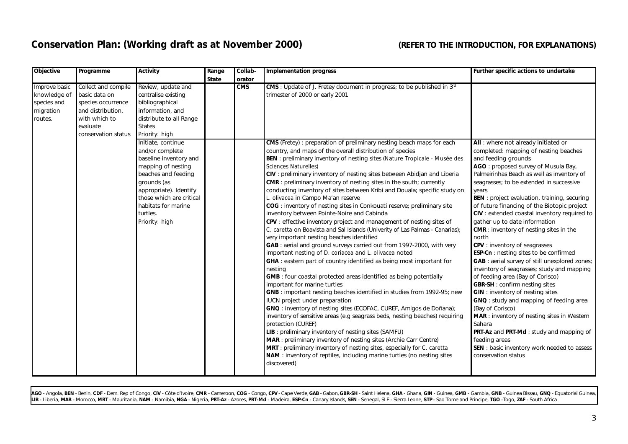## **Conservation Plan: (Working draft as at November 2000) (REFER TO THE INTRODUCTION, FOR EXPLANATIONS)**

| Objective                                                            | Programme                                                                                                                           | <b>Activity</b>                                                                                                                                                                               | Range        | Collab- | Implementation progress                                                                                                                                                                                                                                                                                                                                                                                                                                                                                                                                                                                                                                                                                                                                                                                                                                                                                                                                                                                                                                                                                                                                                                                                                                                                                                                                                                                                                                                                                                                                                                                                                                | Further specific actions to undertake                                                                                                                                                                                                                                                                                                                                                                                                                                                                                                                                                                                                                                                                                                                                                                                                                                                                                                                               |
|----------------------------------------------------------------------|-------------------------------------------------------------------------------------------------------------------------------------|-----------------------------------------------------------------------------------------------------------------------------------------------------------------------------------------------|--------------|---------|--------------------------------------------------------------------------------------------------------------------------------------------------------------------------------------------------------------------------------------------------------------------------------------------------------------------------------------------------------------------------------------------------------------------------------------------------------------------------------------------------------------------------------------------------------------------------------------------------------------------------------------------------------------------------------------------------------------------------------------------------------------------------------------------------------------------------------------------------------------------------------------------------------------------------------------------------------------------------------------------------------------------------------------------------------------------------------------------------------------------------------------------------------------------------------------------------------------------------------------------------------------------------------------------------------------------------------------------------------------------------------------------------------------------------------------------------------------------------------------------------------------------------------------------------------------------------------------------------------------------------------------------------------|---------------------------------------------------------------------------------------------------------------------------------------------------------------------------------------------------------------------------------------------------------------------------------------------------------------------------------------------------------------------------------------------------------------------------------------------------------------------------------------------------------------------------------------------------------------------------------------------------------------------------------------------------------------------------------------------------------------------------------------------------------------------------------------------------------------------------------------------------------------------------------------------------------------------------------------------------------------------|
|                                                                      |                                                                                                                                     |                                                                                                                                                                                               | <b>State</b> | orator  |                                                                                                                                                                                                                                                                                                                                                                                                                                                                                                                                                                                                                                                                                                                                                                                                                                                                                                                                                                                                                                                                                                                                                                                                                                                                                                                                                                                                                                                                                                                                                                                                                                                        |                                                                                                                                                                                                                                                                                                                                                                                                                                                                                                                                                                                                                                                                                                                                                                                                                                                                                                                                                                     |
| Improve basic<br>knowledge of<br>species and<br>migration<br>routes. | Collect and compile<br>basic data on<br>species occurrence<br>and distribution,<br>with which to<br>evaluate<br>conservation status | Review, update and<br>centralise existing<br>bibliographical<br>information, and<br>distribute to all Range<br><b>States</b><br>Priority: high<br>Initiate, continue<br>and/or complete       |              | CMS     | <b>CMS</b> : Update of J. Fretey document in progress; to be published in 3rd<br>trimester of 2000 or early 2001<br>CMS (Fretey) : preparation of preliminary nesting beach maps for each<br>country, and maps of the overall distribution of species                                                                                                                                                                                                                                                                                                                                                                                                                                                                                                                                                                                                                                                                                                                                                                                                                                                                                                                                                                                                                                                                                                                                                                                                                                                                                                                                                                                                  | All : where not already initiated or<br>completed: mapping of nesting beaches                                                                                                                                                                                                                                                                                                                                                                                                                                                                                                                                                                                                                                                                                                                                                                                                                                                                                       |
|                                                                      |                                                                                                                                     | baseline inventory and<br>mapping of nesting<br>beaches and feeding<br>grounds (as<br>appropriate). Identify<br>those which are critical<br>habitats for marine<br>turtles.<br>Priority: high |              |         | BEN : preliminary inventory of nesting sites (Nature Tropicale - Musée des<br>Sciences Naturelles)<br>CIV: preliminary inventory of nesting sites between Abidjan and Liberia<br><b>CMR</b> : preliminary inventory of nesting sites in the south; currently<br>conducting inventory of sites between Kribi and Douala; specific study on<br>L. olivacea in Campo Ma'an reserve<br>COG: inventory of nesting sites in Conkouati reserve; preliminary site<br>inventory between Pointe-Noire and Cabinda<br>CPV : effective inventory project and management of nesting sites of<br>C. caretta on Boavista and Sal Islands (Univerity of Las Palmas - Canarias);<br>very important nesting beaches identified<br>GAB : aerial and ground surveys carried out from 1997-2000, with very<br>important nesting of D. coriacea and L. olivacea noted<br><b>GHA</b> : eastern part of country identified as being most important for<br>nesting<br><b>GMB</b> : four coastal protected areas identified as being potentially<br>important for marine turtles<br>GNB: important nesting beaches identified in studies from 1992-95; new<br>IUCN project under preparation<br>GNQ : inventory of nesting sites (ECOFAC, CUREF, Amigos de Doñana);<br>inventory of sensitive areas (e.g seagrass beds, nesting beaches) requiring<br>protection (CUREF)<br>LIB : preliminary inventory of nesting sites (SAMFU)<br><b>MAR</b> : preliminary inventory of nesting sites (Archie Carr Centre)<br>MRT: preliminary inventory of nesting sites, especially for C. caretta<br>NAM : inventory of reptiles, including marine turtles (no nesting sites<br>discovered) | and feeding grounds<br>AGO: proposed survey of Musula Bay,<br>Palmeirinhas Beach as well as inventory of<br>seagrasses; to be extended in successive<br>years<br>BEN : project evaluation, training, securing<br>of future financing of the Biotopic project<br>CIV : extended coastal inventory required to<br>gather up to date information<br><b>CMR</b> : inventory of nesting sites in the<br>north<br>CPV: inventory of seagrasses<br>ESP-Cn : nesting sites to be confirmed<br>GAB : aerial survey of still unexplored zones;<br>inventory of seagrasses; study and mapping<br>of feeding area (Bay of Corisco)<br><b>GBR-SH</b> : confirm nesting sites<br><b>GIN</b> : inventory of nesting sites<br>GNQ : study and mapping of feeding area<br>(Bay of Corisco)<br>MAR: inventory of nesting sites in Western<br>Sahara<br>PRT-Az and PRT-Md : study and mapping of<br>feeding areas<br>SEN: basic inventory work needed to assess<br>conservation status |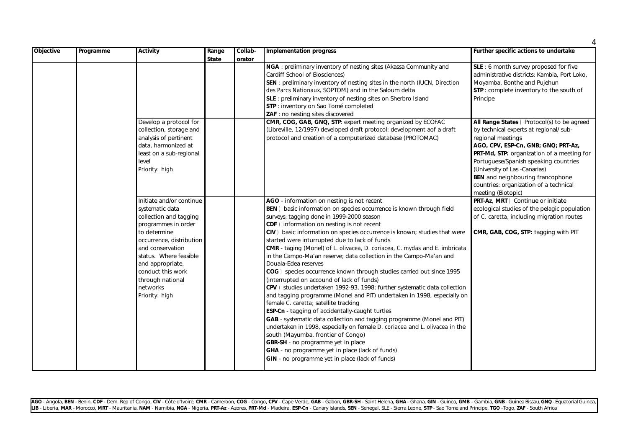| Objective | Programme | <b>Activity</b>                                                                                                                                                                                                                                                                   | Range<br><b>State</b> | Collab-<br>orator | <b>Implementation progress</b>                                                                                                                                                                                                                                                                                                                                                                                                                                                                                                                                                                                                                                                                                                                                                                                                                                                                                                                                                                                                                                                                                                                                                                                                            | Further specific actions to undertake                                                                                                                                                                                                                                                                                                                                                |
|-----------|-----------|-----------------------------------------------------------------------------------------------------------------------------------------------------------------------------------------------------------------------------------------------------------------------------------|-----------------------|-------------------|-------------------------------------------------------------------------------------------------------------------------------------------------------------------------------------------------------------------------------------------------------------------------------------------------------------------------------------------------------------------------------------------------------------------------------------------------------------------------------------------------------------------------------------------------------------------------------------------------------------------------------------------------------------------------------------------------------------------------------------------------------------------------------------------------------------------------------------------------------------------------------------------------------------------------------------------------------------------------------------------------------------------------------------------------------------------------------------------------------------------------------------------------------------------------------------------------------------------------------------------|--------------------------------------------------------------------------------------------------------------------------------------------------------------------------------------------------------------------------------------------------------------------------------------------------------------------------------------------------------------------------------------|
|           |           |                                                                                                                                                                                                                                                                                   |                       |                   | NGA: preliminary inventory of nesting sites (Akassa Community and<br>Cardiff School of Biosciences)<br>SEN: preliminary inventory of nesting sites in the north (IUCN, Direction<br>des Parcs Nationaux, SOPTOM) and in the Saloum delta<br>SLE: preliminary inventory of nesting sites on Sherbro Island<br>STP : inventory on Sao Tomé completed<br>ZAF : no nesting sites discovered                                                                                                                                                                                                                                                                                                                                                                                                                                                                                                                                                                                                                                                                                                                                                                                                                                                   | SLE: 6 month survey proposed for five<br>administrative districts: Kambia, Port Loko,<br>Moyamba, Bonthe and Pujehun<br>STP: complete inventory to the south of<br>Principe                                                                                                                                                                                                          |
|           |           | Develop a protocol for<br>collection, storage and<br>analysis of pertinent<br>data, harmonized at<br>least on a sub-regional<br>level<br>Priority: high                                                                                                                           |                       |                   | CMR, COG, GAB, GNQ, STP: expert meeting organized by ECOFAC<br>(Libreville, 12/1997) developed draft protocol: development aof a draft<br>protocol and creation of a computerized database (PROTOMAC)                                                                                                                                                                                                                                                                                                                                                                                                                                                                                                                                                                                                                                                                                                                                                                                                                                                                                                                                                                                                                                     | All Range States ) Protocol(s) to be agreed<br>by technical experts at regional/ sub-<br>regional meetings<br>AGO, CPV, ESP-Cn, GNB; GNQ; PRT-Az,<br>PRT-Md, STP: organization of a meeting for<br>Portuguese/Spanish speaking countries<br>(University of Las -Canarias)<br><b>BEN</b> and neighbouring francophone<br>countries: organization of a technical<br>meeting (Biotopic) |
|           |           | Initiate and/or continue<br>systematic data<br>collection and tagging<br>programmes in order<br>to determine<br>occurrence, distribution<br>and conservation<br>status. Where feasible<br>and appropriate,<br>conduct this work<br>through national<br>networks<br>Priority: high |                       |                   | AGO - information on nesting is not recent<br>BEN) basic information on species occurrence is known through field<br>surveys; tagging done in 1999-2000 season<br>CDF) information on nesting is not recent<br>CIV) basic information on species occurrence is known; studies that were<br>started were inturrupted due to lack of funds<br>CMR - taging (Monel) of L. olivacea, D. coriacea, C. mydas and E. imbricata<br>in the Campo-Ma'an reserve; data collection in the Campo-Ma'an and<br>Douala-Edea reserves<br>COG) species occurrence known through studies carried out since 1995<br>(interrupted on accound of lack of funds)<br>CPV) studies undertaken 1992-93, 1998; further systematic data collection<br>and tagging programme (Monel and PIT) undertaken in 1998, especially on<br>female C. caretta; satellite tracking<br>ESP-Cn - tagging of accidentally-caught turtles<br>GAB - systematic data collection and tagging programme (Monel and PIT)<br>undertaken in 1998, especially on female D. coriacea and L. olivacea in the<br>south (Mayumba, frontier of Congo)<br>GBR-SH - no programme yet in place<br>GHA - no programme yet in place (lack of funds)<br>GIN - no programme yet in place (lack of funds) | PRT-Az, MRT) Continue or initiate<br>ecological studies of the pelagic population<br>of C. caretta, including migration routes<br>CMR, GAB, COG, STP: tagging with PIT                                                                                                                                                                                                               |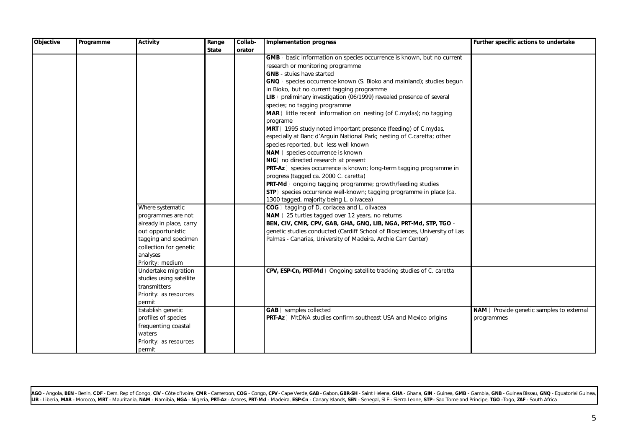| <b>Objective</b> | Programme | <b>Activity</b>               | Range        | Collab- | Implementation progress                                                     | Further specific actions to undertake    |
|------------------|-----------|-------------------------------|--------------|---------|-----------------------------------------------------------------------------|------------------------------------------|
|                  |           |                               | <b>State</b> | orator  |                                                                             |                                          |
|                  |           |                               |              |         | GMB) basic information on species occurrence is known, but no current       |                                          |
|                  |           |                               |              |         | research or monitoring programme                                            |                                          |
|                  |           |                               |              |         | <b>GNB</b> - stuies have started                                            |                                          |
|                  |           |                               |              |         | GNQ) species occurrence known (S. Bioko and mainland); studies begun        |                                          |
|                  |           |                               |              |         | in Bioko, but no current tagging programme                                  |                                          |
|                  |           |                               |              |         | LIB) preliminary investigation (06/1999) revealed presence of several       |                                          |
|                  |           |                               |              |         | species; no tagging programme                                               |                                          |
|                  |           |                               |              |         | MAR) little recent information on nesting (of C.mydas); no tagging          |                                          |
|                  |           |                               |              |         | programe                                                                    |                                          |
|                  |           |                               |              |         | MRT) 1995 study noted important presence (feeding) of C.mydas,              |                                          |
|                  |           |                               |              |         | especially at Banc d'Arguin National Park; nesting of C.caretta; other      |                                          |
|                  |           |                               |              |         | species reported, but less well known                                       |                                          |
|                  |           |                               |              |         | NAM) species occurrence is known                                            |                                          |
|                  |           |                               |              |         | NIG) no directed research at present                                        |                                          |
|                  |           |                               |              |         | PRT-Az) species occurrence is known; long-term tagging programme in         |                                          |
|                  |           |                               |              |         | progress (tagged ca. 2000 C. caretta)                                       |                                          |
|                  |           |                               |              |         | PRT-Md) ongoing tagging programme; growth/feeding studies                   |                                          |
|                  |           |                               |              |         | STP) species occurrence well-known; tagging programme in place (ca.         |                                          |
|                  |           |                               |              |         | 1300 tagged, majority being L. olivacea)                                    |                                          |
|                  |           | Where systematic              |              |         | COG) tagging of D. coriacea and L. olivacea                                 |                                          |
|                  |           | programmes are not            |              |         | NAM) 25 turtles tagged over 12 years, no returns                            |                                          |
|                  |           | already in place, carry       |              |         | BEN, CIV, CMR, CPV, GAB, GHA, GNQ, LIB, NGA, PRT-Md, STP, TGO -             |                                          |
|                  |           | out opportunistic             |              |         | genetic studies conducted (Cardiff School of Biosciences, University of Las |                                          |
|                  |           | tagging and specimen          |              |         | Palmas - Canarias, University of Madeira, Archie Carr Center)               |                                          |
|                  |           | collection for genetic        |              |         |                                                                             |                                          |
|                  |           | analyses                      |              |         |                                                                             |                                          |
|                  |           | Priority: medium              |              |         |                                                                             |                                          |
|                  |           | Undertake migration           |              |         | CPV, ESP-Cn, PRT-Md) Ongoing satellite tracking studies of C. caretta       |                                          |
|                  |           | studies using satellite       |              |         |                                                                             |                                          |
|                  |           | transmitters                  |              |         |                                                                             |                                          |
|                  |           | Priority: as resources        |              |         |                                                                             |                                          |
|                  |           |                               |              |         |                                                                             |                                          |
|                  |           | permit<br>Establish genetic   |              |         | <b>GAB</b> ) samples collected                                              |                                          |
|                  |           |                               |              |         |                                                                             | NAM) Provide genetic samples to external |
|                  |           | profiles of species           |              |         | <b>PRT-Az</b> ) MtDNA studies confirm southeast USA and Mexico origins      | programmes                               |
|                  |           | frequenting coastal<br>waters |              |         |                                                                             |                                          |
|                  |           |                               |              |         |                                                                             |                                          |
|                  |           | Priority: as resources        |              |         |                                                                             |                                          |
|                  |           | permit                        |              |         |                                                                             |                                          |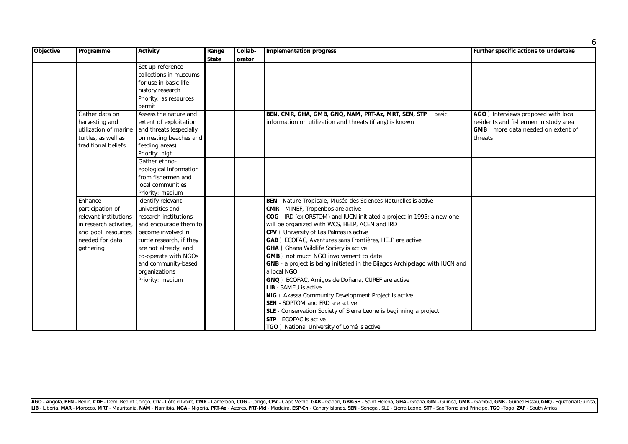| <b>Objective</b> | Programme             | <b>Activity</b>                               | Range        | Collab- | <b>Implementation progress</b>                                              | Further specific actions to undertake |
|------------------|-----------------------|-----------------------------------------------|--------------|---------|-----------------------------------------------------------------------------|---------------------------------------|
|                  |                       |                                               | <b>State</b> | orator  |                                                                             |                                       |
|                  |                       | Set up reference                              |              |         |                                                                             |                                       |
|                  |                       | collections in museums                        |              |         |                                                                             |                                       |
|                  |                       | for use in basic life-                        |              |         |                                                                             |                                       |
|                  |                       | history research                              |              |         |                                                                             |                                       |
|                  |                       | Priority: as resources                        |              |         |                                                                             |                                       |
|                  |                       | permit                                        |              |         |                                                                             |                                       |
|                  | Gather data on        | Assess the nature and                         |              |         | BEN, CMR, GHA, GMB, GNQ, NAM, PRT-Az, MRT, SEN, STP ) basic                 | AGO ) Interviews proposed with local  |
|                  | harvesting and        | extent of exploitation                        |              |         | information on utilization and threats (if any) is known                    | residents and fishermen in study area |
|                  | utilization of marine | and threats (especially                       |              |         |                                                                             | GMB) more data needed on extent of    |
|                  | turtles, as well as   | on nesting beaches and                        |              |         |                                                                             | threats                               |
|                  | traditional beliefs   | feeding areas)                                |              |         |                                                                             |                                       |
|                  |                       | Priority: high                                |              |         |                                                                             |                                       |
|                  |                       | Gather ethno-                                 |              |         |                                                                             |                                       |
|                  |                       | zoological information                        |              |         |                                                                             |                                       |
|                  |                       | from fishermen and                            |              |         |                                                                             |                                       |
|                  |                       | local communities                             |              |         |                                                                             |                                       |
|                  |                       | Priority: medium                              |              |         |                                                                             |                                       |
|                  | Enhance               | Identify relevant                             |              |         | BEN - Nature Tropicale, Musée des Sciences Naturelles is active             |                                       |
|                  | participation of      | universities and                              |              |         | <b>CMR</b> ) MINEF, Tropenbos are active                                    |                                       |
|                  | relevant institutions | research institutions                         |              |         | COG - IRD (ex-ORSTOM) and IUCN initiated a project in 1995; a new one       |                                       |
|                  |                       | in research activities, and encourage them to |              |         | will be organized with WCS, HELP, ACEN and IRD                              |                                       |
|                  | and pool resources    | become involved in                            |              |         | CPV ) University of Las Palmas is active                                    |                                       |
|                  | needed for data       | turtle research, if they                      |              |         | GAB) ECOFAC, Aventures sans Frontières, HELP are active                     |                                       |
|                  | gathering             | are not already, and                          |              |         | <b>GHA</b> ) Ghana Wildlife Society is active                               |                                       |
|                  |                       | co-operate with NGOs                          |              |         | GMB) not much NGO involvement to date                                       |                                       |
|                  |                       | and community-based                           |              |         | GNB - a project is being initiated in the Bijagos Archipelago with IUCN and |                                       |
|                  |                       | organizations                                 |              |         | a local NGO                                                                 |                                       |
|                  |                       | Priority: medium                              |              |         | GNQ) ECOFAC, Amigos de Doñana, CUREF are active                             |                                       |
|                  |                       |                                               |              |         | <b>LIB</b> - SAMFU is active                                                |                                       |
|                  |                       |                                               |              |         | NIG ) Akassa Community Development Project is active                        |                                       |
|                  |                       |                                               |              |         | <b>SEN</b> - SOPTOM and FRD are active                                      |                                       |
|                  |                       |                                               |              |         | SLE - Conservation Society of Sierra Leone is beginning a project           |                                       |
|                  |                       |                                               |              |         | STP) ECOFAC is active                                                       |                                       |
|                  |                       |                                               |              |         | TGO ) National University of Lomé is active                                 |                                       |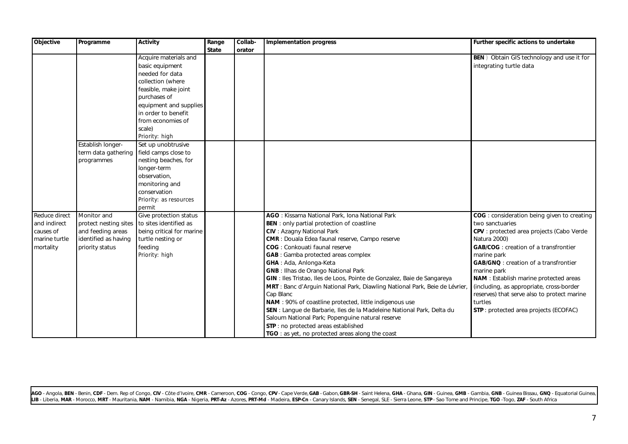| Objective     | Programme            | <b>Activity</b>                              | Range        | Collab- | <b>Implementation progress</b>                                              | Further specific actions to undertake              |
|---------------|----------------------|----------------------------------------------|--------------|---------|-----------------------------------------------------------------------------|----------------------------------------------------|
|               |                      |                                              | <b>State</b> | orator  |                                                                             |                                                    |
|               |                      | Acquire materials and                        |              |         |                                                                             | <b>BEN</b> ) Obtain GIS technology and use it for  |
|               |                      | basic equipment                              |              |         |                                                                             | integrating turtle data                            |
|               |                      | needed for data                              |              |         |                                                                             |                                                    |
|               |                      | collection (where                            |              |         |                                                                             |                                                    |
|               |                      | feasible, make joint                         |              |         |                                                                             |                                                    |
|               |                      | purchases of                                 |              |         |                                                                             |                                                    |
|               |                      | equipment and supplies                       |              |         |                                                                             |                                                    |
|               |                      | in order to benefit                          |              |         |                                                                             |                                                    |
|               |                      | from economies of                            |              |         |                                                                             |                                                    |
|               |                      | scale)                                       |              |         |                                                                             |                                                    |
|               |                      | Priority: high                               |              |         |                                                                             |                                                    |
|               | Establish longer-    | Set up unobtrusive                           |              |         |                                                                             |                                                    |
|               |                      | term data gathering field camps close to     |              |         |                                                                             |                                                    |
|               | programmes           | nesting beaches, for                         |              |         |                                                                             |                                                    |
|               |                      | longer-term                                  |              |         |                                                                             |                                                    |
|               |                      | observation,                                 |              |         |                                                                             |                                                    |
|               |                      | monitoring and                               |              |         |                                                                             |                                                    |
|               |                      | conservation                                 |              |         |                                                                             |                                                    |
|               |                      | Priority: as resources                       |              |         |                                                                             |                                                    |
|               |                      | permit                                       |              |         |                                                                             |                                                    |
| Reduce direct | Monitor and          | Give protection status                       |              |         | AGO: Kissama National Park, Iona National Park                              | <b>COG</b> : consideration being given to creating |
| and indirect  |                      | protect nesting sites to sites identified as |              |         | <b>BEN</b> : only partial protection of coastline                           | two sanctuaries                                    |
| causes of     | and feeding areas    | being critical for marine                    |              |         | <b>CIV</b> : Azagny National Park                                           | CPV: protected area projects (Cabo Verde           |
| marine turtle | identified as having | turtle nesting or                            |              |         | <b>CMR</b> : Douala Edea faunal reserve, Campo reserve                      | Natura 2000)                                       |
| mortality     | priority status      | feeding                                      |              |         | <b>COG</b> : Conkouati faunal reserve                                       | <b>GAB/COG</b> : creation of a transfrontier       |
|               |                      | Priority: high                               |              |         | <b>GAB</b> : Gamba protected areas complex                                  | marine park                                        |
|               |                      |                                              |              |         | GHA: Ada, Anlonga-Keta                                                      | <b>GAB/GNQ</b> : creation of a transfrontier       |
|               |                      |                                              |              |         | <b>GNB</b> : Ilhas de Orango National Park                                  | marine park                                        |
|               |                      |                                              |              |         | GIN : Iles Tristao, Iles de Loos, Pointe de Gonzalez, Baie de Sangareya     | NAM : Establish marine protected areas             |
|               |                      |                                              |              |         | MRT : Banc d'Arguin National Park, Diawling National Park, Beie de Lévrier, | (including, as appropriate, cross-border           |
|               |                      |                                              |              |         | Cap Blanc                                                                   | reserves) that serve also to protect marine        |
|               |                      |                                              |              |         | NAM : 90% of coastline protected, little indigenous use                     | turtles                                            |
|               |                      |                                              |              |         | SEN : Langue de Barbarie, lles de la Madeleine National Park, Delta du      | <b>STP</b> : protected area projects (ECOFAC)      |
|               |                      |                                              |              |         | Saloum National Park; Popenguine natural reserve                            |                                                    |
|               |                      |                                              |              |         | STP : no protected areas established                                        |                                                    |
|               |                      |                                              |              |         | TGO: as yet, no protected areas along the coast                             |                                                    |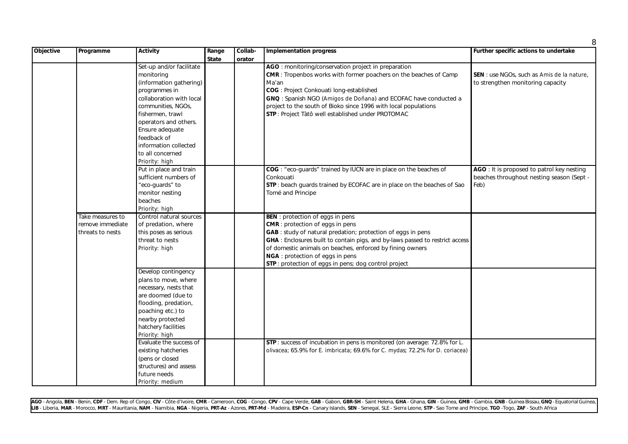| <b>Objective</b> | Programme        | <b>Activity</b>          | Range        | Collab- | Implementation progress                                                       | Further specific actions to undertake      |
|------------------|------------------|--------------------------|--------------|---------|-------------------------------------------------------------------------------|--------------------------------------------|
|                  |                  |                          | <b>State</b> | orator  |                                                                               |                                            |
|                  |                  | Set-up and/or facilitate |              |         | AGO : monitoring/conservation project in preparation                          |                                            |
|                  |                  | monitoring               |              |         | CMR : Tropenbos works with former poachers on the beaches of Camp             | SEN : use NGOs, such as Amis de la nature, |
|                  |                  | (information gathering)  |              |         | Ma'an                                                                         | to strengthen monitoring capacity          |
|                  |                  | programmes in            |              |         | COG : Project Conkouati long-established                                      |                                            |
|                  |                  | collaboration with local |              |         | GNQ : Spanish NGO (Amigos de Doñana) and ECOFAC have conducted a              |                                            |
|                  |                  | communities, NGOs,       |              |         | project to the south of Bioko since 1996 with local populations               |                                            |
|                  |                  | fishermen, trawl         |              |         | STP : Project Tàtô well established under PROTOMAC                            |                                            |
|                  |                  | operators and others.    |              |         |                                                                               |                                            |
|                  |                  | Ensure adequate          |              |         |                                                                               |                                            |
|                  |                  | feedback of              |              |         |                                                                               |                                            |
|                  |                  | information collected    |              |         |                                                                               |                                            |
|                  |                  | to all concerned         |              |         |                                                                               |                                            |
|                  |                  | Priority: high           |              |         |                                                                               |                                            |
|                  |                  | Put in place and train   |              |         | COG : "eco-guards" trained by IUCN are in place on the beaches of             | AGO: It is proposed to patrol key nesting  |
|                  |                  | sufficient numbers of    |              |         | Conkouati                                                                     | beaches throughout nesting season (Sept -  |
|                  |                  | "eco-guards" to          |              |         | STP: beach guards trained by ECOFAC are in place on the beaches of Sao        | Feb)                                       |
|                  |                  | monitor nesting          |              |         | Tomé and Principe                                                             |                                            |
|                  |                  | beaches                  |              |         |                                                                               |                                            |
|                  |                  | Priority: high           |              |         |                                                                               |                                            |
|                  | Take measures to | Control natural sources  |              |         | <b>BEN</b> : protection of eggs in pens                                       |                                            |
|                  | remove immediate | of predation, where      |              |         | <b>CMR</b> : protection of eggs in pens                                       |                                            |
|                  | threats to nests | this poses as serious    |              |         | GAB : study of natural predation; protection of eggs in pens                  |                                            |
|                  |                  | threat to nests          |              |         | GHA : Enclosures built to contain pigs, and by-laws passed to restrict access |                                            |
|                  |                  | Priority: high           |              |         | of domestic animals on beaches, enforced by fining owners                     |                                            |
|                  |                  |                          |              |         | NGA : protection of eggs in pens                                              |                                            |
|                  |                  |                          |              |         | STP: protection of eggs in pens; dog control project                          |                                            |
|                  |                  | Develop contingency      |              |         |                                                                               |                                            |
|                  |                  | plans to move, where     |              |         |                                                                               |                                            |
|                  |                  | necessary, nests that    |              |         |                                                                               |                                            |
|                  |                  | are doomed (due to       |              |         |                                                                               |                                            |
|                  |                  | flooding, predation,     |              |         |                                                                               |                                            |
|                  |                  | poaching etc.) to        |              |         |                                                                               |                                            |
|                  |                  | nearby protected         |              |         |                                                                               |                                            |
|                  |                  | hatchery facilities      |              |         |                                                                               |                                            |
|                  |                  | Priority: high           |              |         |                                                                               |                                            |
|                  |                  | Evaluate the success of  |              |         | STP: success of incubation in pens is monitored (on average: 72.8% for L.     |                                            |
|                  |                  | existing hatcheries      |              |         | olivacea; 65.9% for E. imbricata; 69.6% for C. mydas; 72.2% for D. coriacea)  |                                            |
|                  |                  | (pens or closed          |              |         |                                                                               |                                            |
|                  |                  | structures) and assess   |              |         |                                                                               |                                            |
|                  |                  | future needs             |              |         |                                                                               |                                            |
|                  |                  | Priority: medium         |              |         |                                                                               |                                            |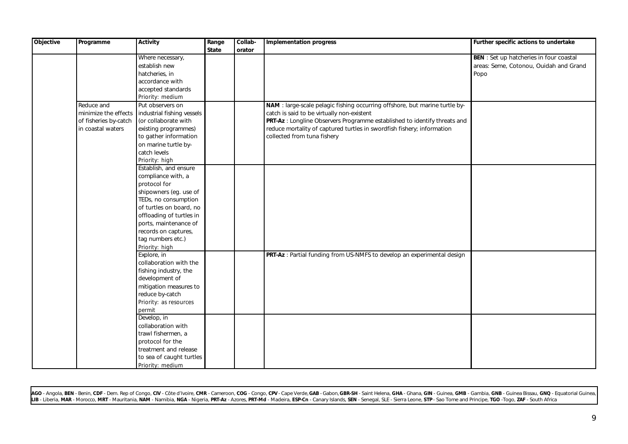| Objective | Programme             | <b>Activity</b>            | Range        | Collab- | <b>Implementation progress</b>                                              | Further specific actions to undertake          |
|-----------|-----------------------|----------------------------|--------------|---------|-----------------------------------------------------------------------------|------------------------------------------------|
|           |                       |                            | <b>State</b> | orator  |                                                                             |                                                |
|           |                       | Where necessary,           |              |         |                                                                             | <b>BEN</b> : Set up hatcheries in four coastal |
|           |                       | establish new              |              |         |                                                                             | areas: Seme, Cotonou, Ouidah and Grand         |
|           |                       | hatcheries, in             |              |         |                                                                             | Popo                                           |
|           |                       | accordance with            |              |         |                                                                             |                                                |
|           |                       | accepted standards         |              |         |                                                                             |                                                |
|           |                       | Priority: medium           |              |         |                                                                             |                                                |
|           | Reduce and            | Put observers on           |              |         | NAM : large-scale pelagic fishing occurring offshore, but marine turtle by- |                                                |
|           | minimize the effects  | industrial fishing vessels |              |         | catch is said to be virtually non-existent                                  |                                                |
|           | of fisheries by-catch | (or collaborate with       |              |         | PRT-Az : Longline Observers Programme established to identify threats and   |                                                |
|           | in coastal waters     | existing programmes)       |              |         | reduce mortality of captured turtles in swordfish fishery; information      |                                                |
|           |                       | to gather information      |              |         | collected from tuna fishery                                                 |                                                |
|           |                       | on marine turtle by-       |              |         |                                                                             |                                                |
|           |                       | catch levels               |              |         |                                                                             |                                                |
|           |                       | Priority: high             |              |         |                                                                             |                                                |
|           |                       | Establish, and ensure      |              |         |                                                                             |                                                |
|           |                       | compliance with, a         |              |         |                                                                             |                                                |
|           |                       | protocol for               |              |         |                                                                             |                                                |
|           |                       | shipowners (eg. use of     |              |         |                                                                             |                                                |
|           |                       | TEDs, no consumption       |              |         |                                                                             |                                                |
|           |                       | of turtles on board, no    |              |         |                                                                             |                                                |
|           |                       | offloading of turtles in   |              |         |                                                                             |                                                |
|           |                       | ports, maintenance of      |              |         |                                                                             |                                                |
|           |                       | records on captures,       |              |         |                                                                             |                                                |
|           |                       | tag numbers etc.)          |              |         |                                                                             |                                                |
|           |                       | Priority: high             |              |         |                                                                             |                                                |
|           |                       | Explore, in                |              |         | PRT-Az : Partial funding from US-NMFS to develop an experimental design     |                                                |
|           |                       | collaboration with the     |              |         |                                                                             |                                                |
|           |                       | fishing industry, the      |              |         |                                                                             |                                                |
|           |                       | development of             |              |         |                                                                             |                                                |
|           |                       | mitigation measures to     |              |         |                                                                             |                                                |
|           |                       | reduce by-catch            |              |         |                                                                             |                                                |
|           |                       | Priority: as resources     |              |         |                                                                             |                                                |
|           |                       | permit                     |              |         |                                                                             |                                                |
|           |                       | Develop, in                |              |         |                                                                             |                                                |
|           |                       | collaboration with         |              |         |                                                                             |                                                |
|           |                       | trawl fishermen, a         |              |         |                                                                             |                                                |
|           |                       | protocol for the           |              |         |                                                                             |                                                |
|           |                       | treatment and release      |              |         |                                                                             |                                                |
|           |                       | to sea of caught turtles   |              |         |                                                                             |                                                |
|           |                       | Priority: medium           |              |         |                                                                             |                                                |
|           |                       |                            |              |         |                                                                             |                                                |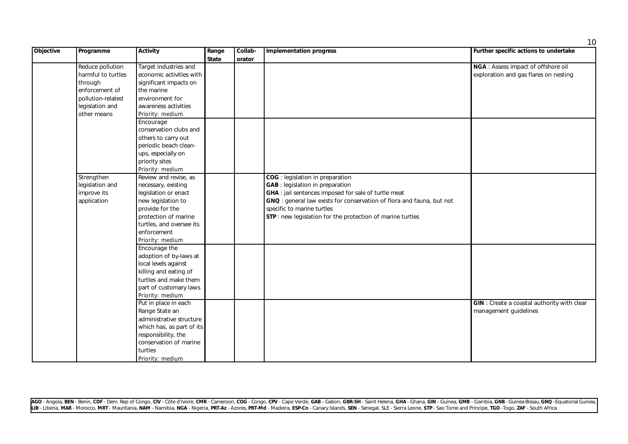| Objective | Programme          | <b>Activity</b>           | Range        | Collab- | <b>Implementation progress</b>                                        | . .<br>Further specific actions to undertake       |
|-----------|--------------------|---------------------------|--------------|---------|-----------------------------------------------------------------------|----------------------------------------------------|
|           |                    |                           | <b>State</b> | orator  |                                                                       |                                                    |
|           | Reduce pollution   | Target industries and     |              |         |                                                                       | NGA : Assess impact of offshore oil                |
|           | harmful to turtles | economic activities with  |              |         |                                                                       | exploration and gas flares on nesting              |
|           | through            | significant impacts on    |              |         |                                                                       |                                                    |
|           | enforcement of     | the marine                |              |         |                                                                       |                                                    |
|           | pollution-related  | environment for           |              |         |                                                                       |                                                    |
|           | legislation and    | awareness activities      |              |         |                                                                       |                                                    |
|           | other means        | Priority: medium          |              |         |                                                                       |                                                    |
|           |                    | Encourage                 |              |         |                                                                       |                                                    |
|           |                    | conservation clubs and    |              |         |                                                                       |                                                    |
|           |                    | others to carry out       |              |         |                                                                       |                                                    |
|           |                    | periodic beach clean-     |              |         |                                                                       |                                                    |
|           |                    | ups, especially on        |              |         |                                                                       |                                                    |
|           |                    | priority sites            |              |         |                                                                       |                                                    |
|           |                    | Priority: medium          |              |         |                                                                       |                                                    |
|           | Strengthen         | Review and revise, as     |              |         | COG : legislation in preparation                                      |                                                    |
|           | legislation and    | necessary, existing       |              |         | <b>GAB</b> : legislation in preparation                               |                                                    |
|           | improve its        | legislation or enact      |              |         | <b>GHA</b> : jail sentences imposed for sale of turtle meat           |                                                    |
|           | application        | new legislation to        |              |         | GNQ : general law exists for conservation of flora and fauna, but not |                                                    |
|           |                    | provide for the           |              |         | specific to marine turtles                                            |                                                    |
|           |                    | protection of marine      |              |         | STP: new legislation for the protection of marine turtles             |                                                    |
|           |                    | turtles, and oversee its  |              |         |                                                                       |                                                    |
|           |                    | enforcement               |              |         |                                                                       |                                                    |
|           |                    | Priority: medium          |              |         |                                                                       |                                                    |
|           |                    | Encourage the             |              |         |                                                                       |                                                    |
|           |                    | adoption of by-laws at    |              |         |                                                                       |                                                    |
|           |                    | local levels against      |              |         |                                                                       |                                                    |
|           |                    | killing and eating of     |              |         |                                                                       |                                                    |
|           |                    | turtles and make them     |              |         |                                                                       |                                                    |
|           |                    | part of customary laws    |              |         |                                                                       |                                                    |
|           |                    | Priority: medium          |              |         |                                                                       |                                                    |
|           |                    | Put in place in each      |              |         |                                                                       | <b>GIN</b> : Create a coastal authority with clear |
|           |                    | Range State an            |              |         |                                                                       | management guidelines                              |
|           |                    | administrative structure  |              |         |                                                                       |                                                    |
|           |                    | which has, as part of its |              |         |                                                                       |                                                    |
|           |                    | responsibility, the       |              |         |                                                                       |                                                    |
|           |                    | conservation of marine    |              |         |                                                                       |                                                    |
|           |                    | turtles                   |              |         |                                                                       |                                                    |
|           |                    | Priority: medium          |              |         |                                                                       |                                                    |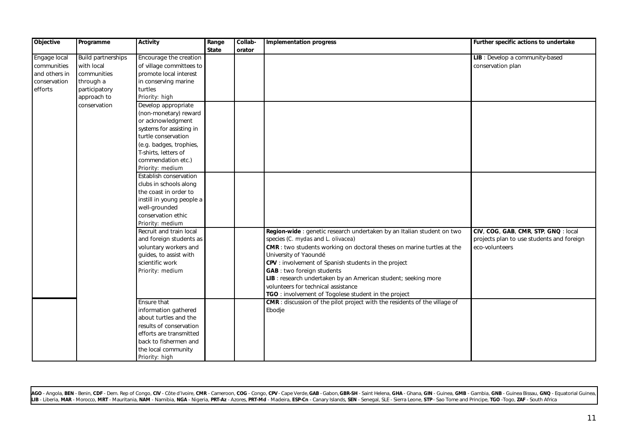| Objective     | Programme                 | <b>Activity</b>           | Range | Collab- | <b>Implementation progress</b>                                             | Further specific actions to undertake     |
|---------------|---------------------------|---------------------------|-------|---------|----------------------------------------------------------------------------|-------------------------------------------|
|               |                           |                           | State | orator  |                                                                            |                                           |
| Engage local  | <b>Build partnerships</b> | Encourage the creation    |       |         |                                                                            | LIB : Develop a community-based           |
| communities   | with local                | of village committees to  |       |         |                                                                            | conservation plan                         |
| and others in | communities               | promote local interest    |       |         |                                                                            |                                           |
| conservation  | through a                 | in conserving marine      |       |         |                                                                            |                                           |
| efforts       | participatory             | turtles                   |       |         |                                                                            |                                           |
|               | approach to               | Priority: high            |       |         |                                                                            |                                           |
|               | conservation              | Develop appropriate       |       |         |                                                                            |                                           |
|               |                           | (non-monetary) reward     |       |         |                                                                            |                                           |
|               |                           | or acknowledgment         |       |         |                                                                            |                                           |
|               |                           | systems for assisting in  |       |         |                                                                            |                                           |
|               |                           | turtle conservation       |       |         |                                                                            |                                           |
|               |                           | (e.g. badges, trophies,   |       |         |                                                                            |                                           |
|               |                           | T-shirts, letters of      |       |         |                                                                            |                                           |
|               |                           | commendation etc.)        |       |         |                                                                            |                                           |
|               |                           | Priority: medium          |       |         |                                                                            |                                           |
|               |                           | Establish conservation    |       |         |                                                                            |                                           |
|               |                           | clubs in schools along    |       |         |                                                                            |                                           |
|               |                           | the coast in order to     |       |         |                                                                            |                                           |
|               |                           | instill in young people a |       |         |                                                                            |                                           |
|               |                           | well-grounded             |       |         |                                                                            |                                           |
|               |                           | conservation ethic        |       |         |                                                                            |                                           |
|               |                           | Priority: medium          |       |         |                                                                            |                                           |
|               |                           | Recruit and train local   |       |         | Region-wide : genetic research undertaken by an Italian student on two     | CIV, COG, GAB, CMR, STP, GNQ : local      |
|               |                           | and foreign students as   |       |         | species (C. mydas and L. olivacea)                                         | projects plan to use students and foreign |
|               |                           | voluntary workers and     |       |         | CMR : two students working on doctoral theses on marine turtles at the     | eco-volunteers                            |
|               |                           | guides, to assist with    |       |         | University of Yaoundé                                                      |                                           |
|               |                           | scientific work           |       |         | CPV : involvement of Spanish students in the project                       |                                           |
|               |                           | Priority: medium          |       |         | <b>GAB</b> : two foreign students                                          |                                           |
|               |                           |                           |       |         | LIB: research undertaken by an American student; seeking more              |                                           |
|               |                           |                           |       |         | volunteers for technical assistance                                        |                                           |
|               |                           |                           |       |         | TGO : involvement of Togolese student in the project                       |                                           |
|               |                           | Ensure that               |       |         | CMR : discussion of the pilot project with the residents of the village of |                                           |
|               |                           | information gathered      |       |         | Ebodje                                                                     |                                           |
|               |                           | about turtles and the     |       |         |                                                                            |                                           |
|               |                           | results of conservation   |       |         |                                                                            |                                           |
|               |                           | efforts are transmitted   |       |         |                                                                            |                                           |
|               |                           | back to fishermen and     |       |         |                                                                            |                                           |
|               |                           | the local community       |       |         |                                                                            |                                           |
|               |                           | Priority: high            |       |         |                                                                            |                                           |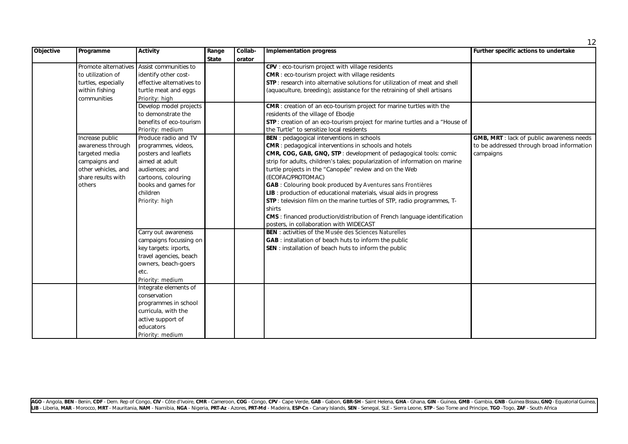| Objective | Programme           | <b>Activity</b>                            | Range        | Collab- | <b>Implementation progress</b>                                                  | Further specific actions to undertake            |
|-----------|---------------------|--------------------------------------------|--------------|---------|---------------------------------------------------------------------------------|--------------------------------------------------|
|           |                     |                                            | <b>State</b> | orator  |                                                                                 |                                                  |
|           |                     | Promote alternatives Assist communities to |              |         | CPV : eco-tourism project with village residents                                |                                                  |
|           | to utilization of   | identify other cost-                       |              |         | <b>CMR</b> : eco-tourism project with village residents                         |                                                  |
|           | turtles, especially | effective alternatives to                  |              |         | STP: research into alternative solutions for utilization of meat and shell      |                                                  |
|           | within fishing      | turtle meat and eggs                       |              |         | (aquaculture, breeding); assistance for the retraining of shell artisans        |                                                  |
|           | communities         | Priority: high                             |              |         |                                                                                 |                                                  |
|           |                     | Develop model projects                     |              |         | <b>CMR</b> : creation of an eco-tourism project for marine turtles with the     |                                                  |
|           |                     | to demonstrate the                         |              |         | residents of the village of Ebodje                                              |                                                  |
|           |                     | benefits of eco-tourism                    |              |         | STP : creation of an eco-tourism project for marine turtles and a "House of     |                                                  |
|           |                     | Priority: medium                           |              |         | the Turtle" to sensitize local residents                                        |                                                  |
|           | Increase public     | Produce radio and TV                       |              |         | <b>BEN</b> : pedagogical interventions in schools                               | <b>GMB, MRT</b> : lack of public awareness needs |
|           | awareness through   | programmes, videos,                        |              |         | <b>CMR</b> : pedagogical interventions in schools and hotels                    | to be addressed through broad information        |
|           | targeted media      | posters and leaflets                       |              |         | CMR, COG, GAB, GNQ, STP : development of pedagogical tools: comic               | campaigns                                        |
|           | campaigns and       | aimed at adult                             |              |         | strip for adults, children's tales; popularization of information on marine     |                                                  |
|           | other vehicles, and | audiences: and                             |              |         | turtle projects in the "Canopée" review and on the Web                          |                                                  |
|           | share results with  | cartoons, colouring                        |              |         | (ECOFAC/PROTOMAC)                                                               |                                                  |
|           | others              | books and games for                        |              |         | GAB : Colouring book produced by Aventures sans Frontières                      |                                                  |
|           |                     | children                                   |              |         | LIB : production of educational materials, visual aids in progress              |                                                  |
|           |                     | Priority: high                             |              |         | STP: television film on the marine turtles of STP, radio programmes, T-         |                                                  |
|           |                     |                                            |              |         | shirts                                                                          |                                                  |
|           |                     |                                            |              |         | <b>CMS</b> : financed production/distribution of French language identification |                                                  |
|           |                     |                                            |              |         | posters, in collaboration with WIDECAST                                         |                                                  |
|           |                     | Carry out awareness                        |              |         | <b>BEN</b> : activities of the Musée des Sciences Naturelles                    |                                                  |
|           |                     | campaigns focussing on                     |              |         | GAB : installation of beach huts to inform the public                           |                                                  |
|           |                     | key targets: irports,                      |              |         | SEN: installation of beach huts to inform the public                            |                                                  |
|           |                     | travel agencies, beach                     |              |         |                                                                                 |                                                  |
|           |                     | owners, beach-goers                        |              |         |                                                                                 |                                                  |
|           |                     | etc.                                       |              |         |                                                                                 |                                                  |
|           |                     | Priority: medium                           |              |         |                                                                                 |                                                  |
|           |                     | Integrate elements of                      |              |         |                                                                                 |                                                  |
|           |                     | conservation                               |              |         |                                                                                 |                                                  |
|           |                     | programmes in school                       |              |         |                                                                                 |                                                  |
|           |                     | curricula, with the                        |              |         |                                                                                 |                                                  |
|           |                     | active support of                          |              |         |                                                                                 |                                                  |
|           |                     | educators                                  |              |         |                                                                                 |                                                  |
|           |                     | Priority: medium                           |              |         |                                                                                 |                                                  |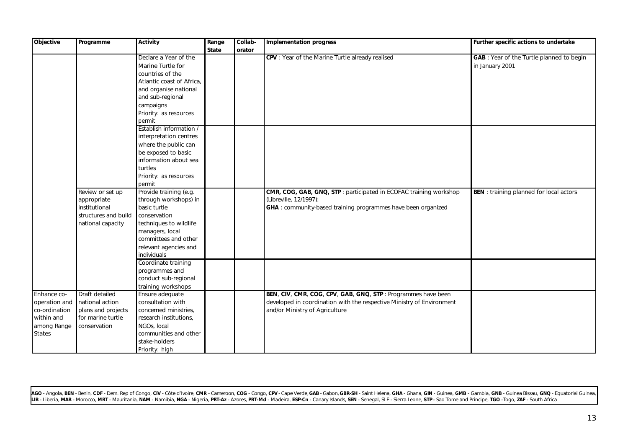| <b>Objective</b> | Programme            | <b>Activity</b>           | Range        | Collab- | <b>Implementation progress</b>                                        | Further specific actions to undertake          |
|------------------|----------------------|---------------------------|--------------|---------|-----------------------------------------------------------------------|------------------------------------------------|
|                  |                      |                           | <b>State</b> | orator  |                                                                       |                                                |
|                  |                      | Declare a Year of the     |              |         | CPV : Year of the Marine Turtle already realised                      | GAB : Year of the Turtle planned to begin      |
|                  |                      | Marine Turtle for         |              |         |                                                                       | in January 2001                                |
|                  |                      | countries of the          |              |         |                                                                       |                                                |
|                  |                      | Atlantic coast of Africa, |              |         |                                                                       |                                                |
|                  |                      | and organise national     |              |         |                                                                       |                                                |
|                  |                      | and sub-regional          |              |         |                                                                       |                                                |
|                  |                      | campaigns                 |              |         |                                                                       |                                                |
|                  |                      | Priority: as resources    |              |         |                                                                       |                                                |
|                  |                      | permit                    |              |         |                                                                       |                                                |
|                  |                      | Establish information /   |              |         |                                                                       |                                                |
|                  |                      | interpretation centres    |              |         |                                                                       |                                                |
|                  |                      | where the public can      |              |         |                                                                       |                                                |
|                  |                      | be exposed to basic       |              |         |                                                                       |                                                |
|                  |                      | information about sea     |              |         |                                                                       |                                                |
|                  |                      | turtles                   |              |         |                                                                       |                                                |
|                  |                      | Priority: as resources    |              |         |                                                                       |                                                |
|                  |                      | permit                    |              |         |                                                                       |                                                |
|                  | Review or set up     | Provide training (e.g.    |              |         | CMR, COG, GAB, GNQ, STP : participated in ECOFAC training workshop    | <b>BEN</b> : training planned for local actors |
|                  | appropriate          | through workshops) in     |              |         | (Libreville, 12/1997):                                                |                                                |
|                  | institutional        | basic turtle              |              |         | GHA : community-based training programmes have been organized         |                                                |
|                  | structures and build | conservation              |              |         |                                                                       |                                                |
|                  | national capacity    | techniques to wildlife    |              |         |                                                                       |                                                |
|                  |                      | managers, local           |              |         |                                                                       |                                                |
|                  |                      | committees and other      |              |         |                                                                       |                                                |
|                  |                      | relevant agencies and     |              |         |                                                                       |                                                |
|                  |                      | individuals               |              |         |                                                                       |                                                |
|                  |                      | Coordinate training       |              |         |                                                                       |                                                |
|                  |                      | programmes and            |              |         |                                                                       |                                                |
|                  |                      | conduct sub-regional      |              |         |                                                                       |                                                |
|                  |                      | training workshops        |              |         |                                                                       |                                                |
| Enhance co-      | Draft detailed       | Ensure adequate           |              |         | BEN, CIV, CMR, COG, CPV, GAB, GNQ, STP : Programmes have been         |                                                |
| operation and    | national action      | consultation with         |              |         | developed in coordination with the respective Ministry of Environment |                                                |
| co-ordination    | plans and projects   | concerned ministries,     |              |         | and/or Ministry of Agriculture                                        |                                                |
| within and       | for marine turtle    | research institutions,    |              |         |                                                                       |                                                |
| among Range      | conservation         | NGOs, local               |              |         |                                                                       |                                                |
| <b>States</b>    |                      | communities and other     |              |         |                                                                       |                                                |
|                  |                      | stake-holders             |              |         |                                                                       |                                                |
|                  |                      | Priority: high            |              |         |                                                                       |                                                |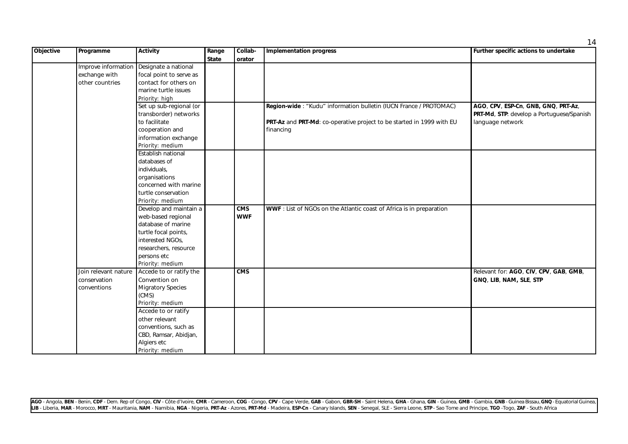| Objective | Programme            | <b>Activity</b>          | Range        | Collab-    | <b>Implementation progress</b>                                        | Further specific actions to undertake     |
|-----------|----------------------|--------------------------|--------------|------------|-----------------------------------------------------------------------|-------------------------------------------|
|           |                      |                          | <b>State</b> | orator     |                                                                       |                                           |
|           | Improve information  | Designate a national     |              |            |                                                                       |                                           |
|           | exchange with        | focal point to serve as  |              |            |                                                                       |                                           |
|           | other countries      | contact for others on    |              |            |                                                                       |                                           |
|           |                      | marine turtle issues     |              |            |                                                                       |                                           |
|           |                      | Priority: high           |              |            |                                                                       |                                           |
|           |                      | Set up sub-regional (or  |              |            | Region-wide: "Kudu" information bulletin (IUCN France / PROTOMAC)     | AGO, CPV, ESP-Cn, GNB, GNQ, PRT-Az,       |
|           |                      | transborder) networks    |              |            |                                                                       | PRT-Md, STP: develop a Portuguese/Spanish |
|           |                      | to facilitate            |              |            | PRT-Az and PRT-Md: co-operative project to be started in 1999 with EU | language network                          |
|           |                      | cooperation and          |              |            | financing                                                             |                                           |
|           |                      | information exchange     |              |            |                                                                       |                                           |
|           |                      | Priority: medium         |              |            |                                                                       |                                           |
|           |                      | Establish national       |              |            |                                                                       |                                           |
|           |                      | databases of             |              |            |                                                                       |                                           |
|           |                      | individuals,             |              |            |                                                                       |                                           |
|           |                      | organisations            |              |            |                                                                       |                                           |
|           |                      | concerned with marine    |              |            |                                                                       |                                           |
|           |                      | turtle conservation      |              |            |                                                                       |                                           |
|           |                      | Priority: medium         |              |            |                                                                       |                                           |
|           |                      | Develop and maintain a   |              | <b>CMS</b> | WWF : List of NGOs on the Atlantic coast of Africa is in preparation  |                                           |
|           |                      | web-based regional       |              | <b>WWF</b> |                                                                       |                                           |
|           |                      | database of marine       |              |            |                                                                       |                                           |
|           |                      | turtle focal points,     |              |            |                                                                       |                                           |
|           |                      | interested NGOs,         |              |            |                                                                       |                                           |
|           |                      | researchers, resource    |              |            |                                                                       |                                           |
|           |                      | persons etc              |              |            |                                                                       |                                           |
|           |                      | Priority: medium         |              |            |                                                                       |                                           |
|           | Join relevant nature | Accede to or ratify the  |              | CMS        |                                                                       | Relevant for: AGO, CIV, CPV, GAB, GMB,    |
|           | conservation         | Convention on            |              |            |                                                                       | GNQ, LIB, NAM, SLE, STP                   |
|           | conventions          | <b>Migratory Species</b> |              |            |                                                                       |                                           |
|           |                      | (CMS)                    |              |            |                                                                       |                                           |
|           |                      | Priority: medium         |              |            |                                                                       |                                           |
|           |                      | Accede to or ratify      |              |            |                                                                       |                                           |
|           |                      | other relevant           |              |            |                                                                       |                                           |
|           |                      | conventions, such as     |              |            |                                                                       |                                           |
|           |                      | CBD, Ramsar, Abidjan,    |              |            |                                                                       |                                           |
|           |                      | Algiers etc              |              |            |                                                                       |                                           |
|           |                      | Priority: medium         |              |            |                                                                       |                                           |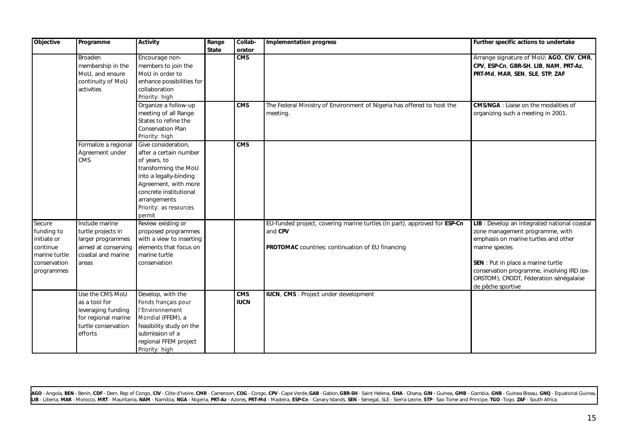| <b>Objective</b>                                                                               | Programme                                                                                                       | <b>Activity</b>                                                                                                                                                                                                       | Range<br><b>State</b> | Collab-<br>orator         | <b>Implementation progress</b>                                                                                                                  | Further specific actions to undertake                                                                                                                                                                                                                                                        |
|------------------------------------------------------------------------------------------------|-----------------------------------------------------------------------------------------------------------------|-----------------------------------------------------------------------------------------------------------------------------------------------------------------------------------------------------------------------|-----------------------|---------------------------|-------------------------------------------------------------------------------------------------------------------------------------------------|----------------------------------------------------------------------------------------------------------------------------------------------------------------------------------------------------------------------------------------------------------------------------------------------|
|                                                                                                | Broaden<br>membership in the<br>MoU, and ensure<br>continuity of MoU<br>activities                              | Encourage non-<br>members to join the<br>MoU in order to<br>enhance possibilities for<br>collaboration<br>Priority: high                                                                                              |                       | CMS                       |                                                                                                                                                 | Arrange signature of MoU: AGO, CIV, CMR,<br>CPV, ESP-Cn, GBR-SH, LIB, NAM, PRT-Az,<br>PRT-Md, MAR, SEN, SLE, STP, ZAF                                                                                                                                                                        |
|                                                                                                |                                                                                                                 | Organize a follow-up<br>meeting of all Range<br>States to refine the<br>Conservation Plan<br>Priority: high                                                                                                           |                       | <b>CMS</b>                | The Federal Ministry of Environment of Nigeria has offered to host the<br>meeting.                                                              | <b>CMS/NGA</b> : Liaise on the modalities of<br>organizing such a meeting in 2001.                                                                                                                                                                                                           |
|                                                                                                | Formalize a regional<br>Agreement under<br><b>CMS</b>                                                           | Give consideration,<br>after a certain number<br>of years, to<br>transforming the MoU<br>into a legally-binding<br>Agreement, with more<br>concrete institutional<br>arrangements<br>Priority: as resources<br>permit |                       | CMS                       |                                                                                                                                                 |                                                                                                                                                                                                                                                                                              |
| Secure<br>funding to<br>initiate or<br>continue<br>marine turtle<br>conservation<br>programmes | Include marine<br>turtle projects in<br>larger programmes<br>aimed at conserving<br>coastal and marine<br>areas | Review existing or<br>proposed programmes<br>with a view to inserting<br>elements that focus on<br>marine turtle<br>conservation                                                                                      |                       |                           | EU-funded project, covering marine turtles (in part), approved for ESP-Cn<br>and CPV<br><b>PROTOMAC</b> countries: continuation of EU financing | LIB : Develop an integrated national coastal<br>zone management programme, with<br>emphasis on marine turtles and other<br>marine species<br>SEN : Put in place a marine turtle<br>conservation programme, involving IRD (ex-<br>ORSTOM), CRODT, Féderation sénégalaise<br>de pêche sportive |
|                                                                                                | Use the CMS MoU<br>as a tool for<br>leveraging funding<br>for regional marine<br>turtle conservation<br>efforts | Develop, with the<br>Fonds français pour<br>l'Environnement<br>Mondial (FFEM), a<br>feasibility study on the<br>submission of a<br>regional FFEM project<br>Priority: high                                            |                       | <b>CMS</b><br><b>IUCN</b> | IUCN, CMS : Project under development                                                                                                           |                                                                                                                                                                                                                                                                                              |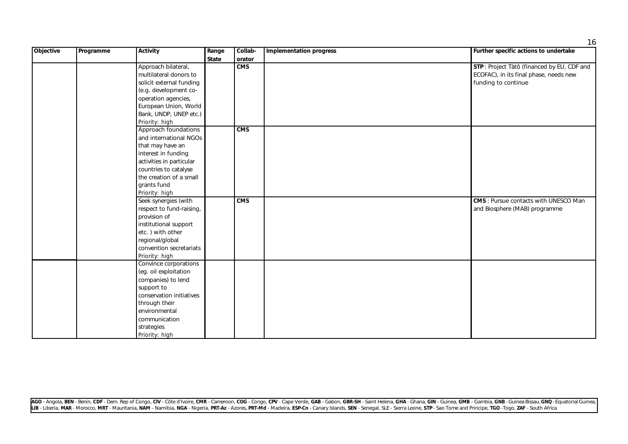| Objective | Programme | <b>Activity</b>          | Range        | Collab-    | <b>Implementation progress</b> | Further specific actions to undertake        |
|-----------|-----------|--------------------------|--------------|------------|--------------------------------|----------------------------------------------|
|           |           |                          | <b>State</b> | orator     |                                |                                              |
|           |           | Approach bilateral,      |              | CMS        |                                | STP: Project Tàtô (financed by EU, CDF and   |
|           |           | multilateral donors to   |              |            |                                | ECOFAC), in its final phase, needs new       |
|           |           | solicit external funding |              |            |                                | funding to continue                          |
|           |           | (e.g. development co-    |              |            |                                |                                              |
|           |           | operation agencies,      |              |            |                                |                                              |
|           |           | European Union, World    |              |            |                                |                                              |
|           |           | Bank, UNDP, UNEP etc.)   |              |            |                                |                                              |
|           |           | Priority: high           |              |            |                                |                                              |
|           |           | Approach foundations     |              | CMS        |                                |                                              |
|           |           | and international NGOs   |              |            |                                |                                              |
|           |           | that may have an         |              |            |                                |                                              |
|           |           | interest in funding      |              |            |                                |                                              |
|           |           | activities in particular |              |            |                                |                                              |
|           |           | countries to catalyse    |              |            |                                |                                              |
|           |           | the creation of a small  |              |            |                                |                                              |
|           |           | grants fund              |              |            |                                |                                              |
|           |           | Priority: high           |              |            |                                |                                              |
|           |           | Seek synergies (with     |              | <b>CMS</b> |                                | <b>CMS</b> : Pursue contacts with UNESCO Man |
|           |           | respect to fund-raising, |              |            |                                | and Biosphere (MAB) programme                |
|           |           | provision of             |              |            |                                |                                              |
|           |           | institutional support    |              |            |                                |                                              |
|           |           | etc.) with other         |              |            |                                |                                              |
|           |           | regional/global          |              |            |                                |                                              |
|           |           | convention secretariats  |              |            |                                |                                              |
|           |           | Priority: high           |              |            |                                |                                              |
|           |           | Convince corporations    |              |            |                                |                                              |
|           |           | (eg. oil exploitation    |              |            |                                |                                              |
|           |           | companies) to lend       |              |            |                                |                                              |
|           |           | support to               |              |            |                                |                                              |
|           |           | conservation initiatives |              |            |                                |                                              |
|           |           | through their            |              |            |                                |                                              |
|           |           | environmental            |              |            |                                |                                              |
|           |           | communication            |              |            |                                |                                              |
|           |           | strategies               |              |            |                                |                                              |
|           |           | Priority: high           |              |            |                                |                                              |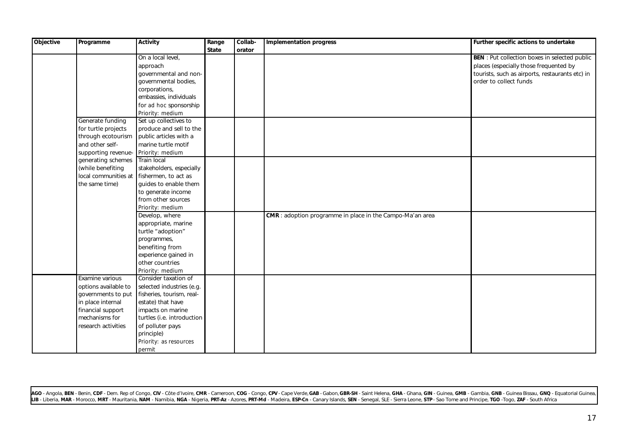| <b>Objective</b> | Programme            | <b>Activity</b>            | Range        | Collab- | <b>Implementation progress</b>                            | Further specific actions to undertake                |
|------------------|----------------------|----------------------------|--------------|---------|-----------------------------------------------------------|------------------------------------------------------|
|                  |                      |                            | <b>State</b> | orator  |                                                           |                                                      |
|                  |                      | On a local level,          |              |         |                                                           | <b>BEN</b> : Put collection boxes in selected public |
|                  |                      | approach                   |              |         |                                                           | places (especially those frequented by               |
|                  |                      | governmental and non-      |              |         |                                                           | tourists, such as airports, restaurants etc) in      |
|                  |                      | governmental bodies,       |              |         |                                                           | order to collect funds                               |
|                  |                      | corporations,              |              |         |                                                           |                                                      |
|                  |                      | embassies, individuals     |              |         |                                                           |                                                      |
|                  |                      | for ad hoc sponsorship     |              |         |                                                           |                                                      |
|                  |                      | Priority: medium           |              |         |                                                           |                                                      |
|                  | Generate funding     | Set up collectives to      |              |         |                                                           |                                                      |
|                  | for turtle projects  | produce and sell to the    |              |         |                                                           |                                                      |
|                  | through ecotourism   | public articles with a     |              |         |                                                           |                                                      |
|                  | and other self-      | marine turtle motif        |              |         |                                                           |                                                      |
|                  | supporting revenue-  | Priority: medium           |              |         |                                                           |                                                      |
|                  | generating schemes   | Train local                |              |         |                                                           |                                                      |
|                  | (while benefiting    | stakeholders, especially   |              |         |                                                           |                                                      |
|                  | local communities at | fishermen, to act as       |              |         |                                                           |                                                      |
|                  | the same time)       | guides to enable them      |              |         |                                                           |                                                      |
|                  |                      | to generate income         |              |         |                                                           |                                                      |
|                  |                      | from other sources         |              |         |                                                           |                                                      |
|                  |                      | Priority: medium           |              |         |                                                           |                                                      |
|                  |                      | Develop, where             |              |         | CMR : adoption programme in place in the Campo-Ma'an area |                                                      |
|                  |                      | appropriate, marine        |              |         |                                                           |                                                      |
|                  |                      | turtle "adoption"          |              |         |                                                           |                                                      |
|                  |                      | programmes,                |              |         |                                                           |                                                      |
|                  |                      | benefiting from            |              |         |                                                           |                                                      |
|                  |                      | experience gained in       |              |         |                                                           |                                                      |
|                  |                      | other countries            |              |         |                                                           |                                                      |
|                  |                      | Priority: medium           |              |         |                                                           |                                                      |
|                  | Examine various      | Consider taxation of       |              |         |                                                           |                                                      |
|                  | options available to | selected industries (e.g.  |              |         |                                                           |                                                      |
|                  | governments to put   | fisheries, tourism, real-  |              |         |                                                           |                                                      |
|                  | in place internal    | estate) that have          |              |         |                                                           |                                                      |
|                  | financial support    | impacts on marine          |              |         |                                                           |                                                      |
|                  | mechanisms for       | turtles (i.e. introduction |              |         |                                                           |                                                      |
|                  | research activities  | of polluter pays           |              |         |                                                           |                                                      |
|                  |                      | principle)                 |              |         |                                                           |                                                      |
|                  |                      | Priority: as resources     |              |         |                                                           |                                                      |
|                  |                      | permit                     |              |         |                                                           |                                                      |